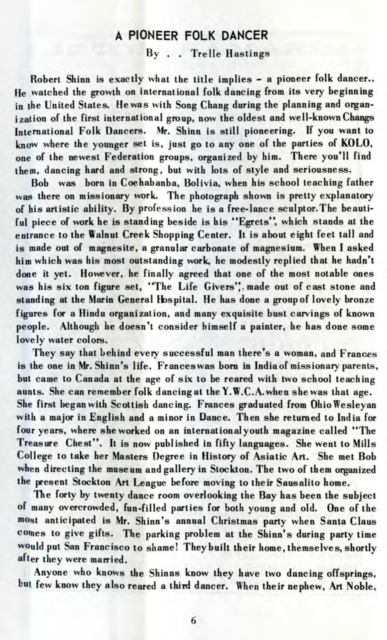## A PIONEER FOLK DANCER

By . . Trelle Hastings

Robert Shinn is exactly what the title implies - a pioneer folk dancer.. He watched the growth on international folk dancing from its very beginning in the United States. He was with Song Chang during the planning and organization of the first international group, now the oldest and well-known Changs International Folk Dancers. Mr. Shinn is still pioneering. If you want to know where the younger set is, just go to any one of the parties of KOLO, one of the newest Federation groups, organized by him. There you'll find them, dancing hard and strong, but with lots of style and seriousness.

Bob was born in Coehabanba, Bolivia, when his school teaching father was there on missionary work. The photograph shown is pretty explanatory of his artistic ability. By profession he is a free-lance sculptor.The beautiful piece of work he is standing beside is his "Egrets", which stands at the entrance to the Walnut Creek Shopping Center. It is about eight feet tall and is made out of magnesite, a granular carbonate of magnesium. When I asked him which was his most outstanding work, he modestly replied that he hadn't done it yet. However, he finally agreed that one of the most notable ones was his six ton figure set, "The Life Givers", made out of cast stone and standing at the Marin General Hospital. He has done a group of lovely bronze figures for a Hindu organization, and many exquisite bust carvings of known people. Although he doesn't consider himself a painter, he has done some lovely water colors.

They say that behind every successful man there's a woman, and Frances is the one in Mr. Shinn's life. Franceswas born in India of missionary parents, but came to Canada at the age of six to be reared with two school teaching aunts. She can remember folk dancing at the Y.W.C.A.when she was that age. She first began with Scottish dancing. Frances graduated from OhioWesleyan with a major in English and a minor in Dance. Then she returned to India for four years, where she worked on an international youth magazine called "The Treasure Chest". It is now published in fifty languages. She went to Mills College to take her Masters Degree in History of Asiatic Art. She met Bob when directing the museum and gallery in Stockton. The two of them organized the present Stockton Art League before moving to their Sausalito home.

The forty by twenty dance room overlooking the Bay has been the subject of many overcrowded, fun-filled parties for both young and old. One of the most anticipated is Mr. Shinn's annual Christmas party when Santa Claus comes to give gifts. The parking problem at the Shinn's during party time would put San Francisco to shame! They built their home, themselves, shortly after they were married.

Anyone who knows the Shinns know they have two dancing offsprings, but few know they also reared a third dancer. When their nephew, Art Noble,